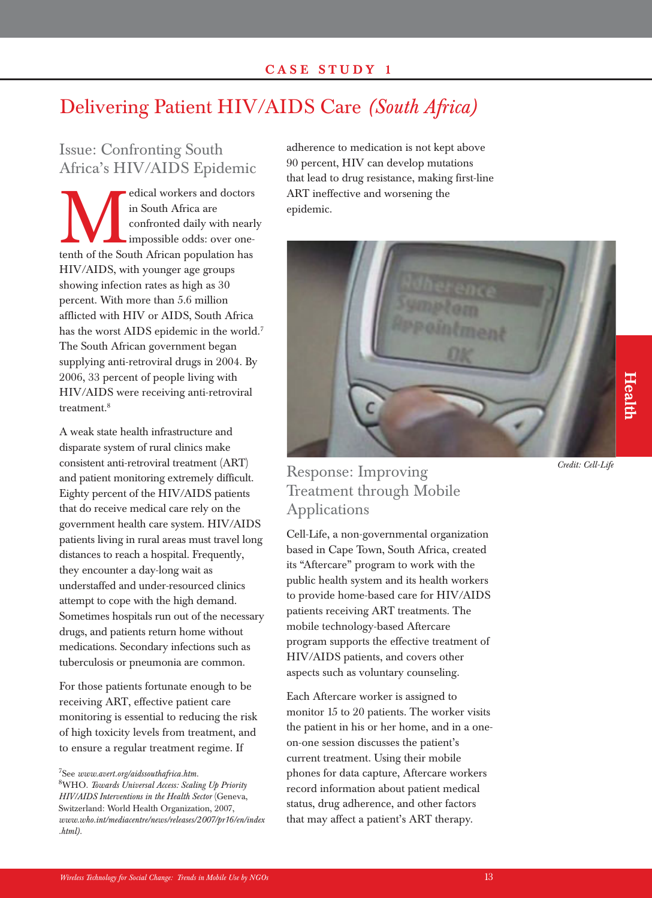### **CASE STUDY 1**

## Delivering Patient HIV/AIDS Care *(South Africa)*

### Issue: Confronting South Africa's HIV/AIDS Epidemic

edical workers and doctors<br>
in South Africa are<br>
confronted daily with nearl<br>
impossible odds: over one-<br>
tenth of the South African population has in South Africa are confronted daily with nearly impossible odds: over one-HIV/AIDS, with younger age groups showing infection rates as high as 30 percent. With more than 5.6 million afflicted with HIV or AIDS, South Africa has the worst AIDS epidemic in the world.<sup>7</sup> The South African government began supplying anti-retroviral drugs in 2004. By 2006, 33 percent of people living with HIV/AIDS were receiving anti-retroviral treatment.8

A weak state health infrastructure and disparate system of rural clinics make consistent anti-retroviral treatment (ART) and patient monitoring extremely difficult. Eighty percent of the HIV/AIDS patients that do receive medical care rely on the government health care system. HIV/AIDS patients living in rural areas must travel long distances to reach a hospital. Frequently, they encounter a day-long wait as understaffed and under-resourced clinics attempt to cope with the high demand. Sometimes hospitals run out of the necessary drugs, and patients return home without medications. Secondary infections such as tuberculosis or pneumonia are common.

For those patients fortunate enough to be receiving ART, effective patient care monitoring is essential to reducing the risk of high toxicity levels from treatment, and to ensure a regular treatment regime. If

adherence to medication is not kept above 90 percent, HIV can develop mutations that lead to drug resistance, making first-line ART ineffective and worsening the epidemic.



### Response: Improving Treatment through Mobile Applications

Cell-Life, a non-governmental organization based in Cape Town, South Africa, created its "Aftercare" program to work with the public health system and its health workers to provide home-based care for HIV/AIDS patients receiving ART treatments. The mobile technology-based Aftercare program supports the effective treatment of HIV/AIDS patients, and covers other aspects such as voluntary counseling.

Each Aftercare worker is assigned to monitor 15 to 20 patients. The worker visits the patient in his or her home, and in a oneon-one session discusses the patient's current treatment. Using their mobile phones for data capture, Aftercare workers record information about patient medical status, drug adherence, and other factors that may affect a patient's ART therapy.

# **Health**

*Credit: Cell-Life*

<sup>7</sup> See *www.avert.org/aidssouthafrica.htm.* 8 WHO. *Towards Universal Access: Scaling Up Priority HIV/AIDS Interventions in the Health Sector* (Geneva, Switzerland: World Health Organization, 2007, *www.who.int/mediacentre/news/releases/2007/pr16/en/index .html).*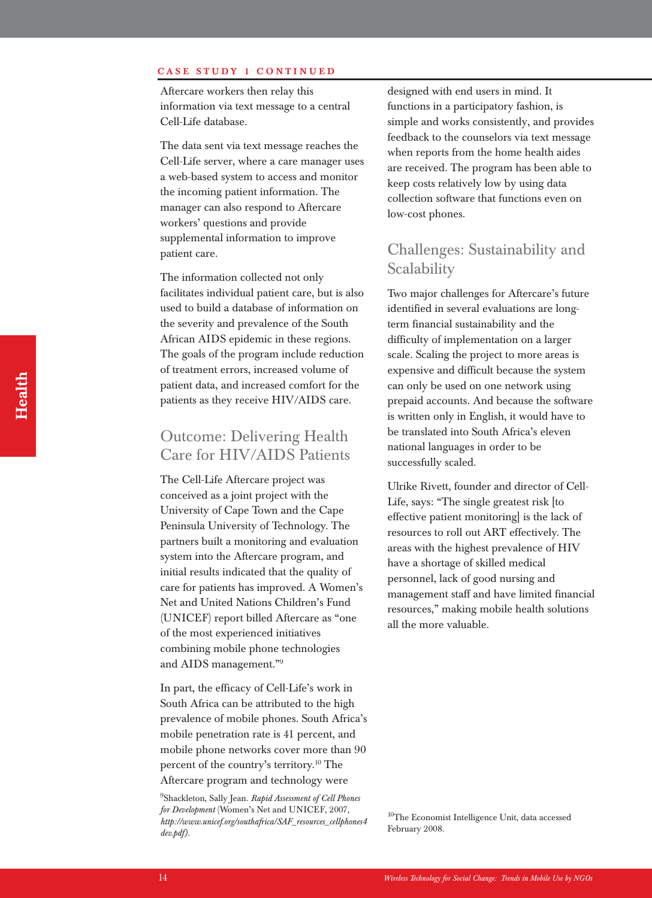#### **CASE STUDY 1 CONTINUED**

Aftercare workers then relay this information via text message to a central Cell-Life database.

The data sent via text message reaches the Cell-Life server, where a care manager uses a web-based system to access and monitor the incoming patient information. The manager can also respond to Aftercare workers' questions and provide supplemental information to improve patient care.

The information collected not only facilitates individual patient care, but is also used to build a database of information on the severity and prevalence of the South African AIDS epidemic in these regions. The goals of the program include reduction of treatment errors, increased volume of patient data, and increased comfort for the patients as they receive HIV/AIDS care.

### Outcome: Delivering Health Care for HIV/AIDS Patients

The Cell-Life Aftercare project was conceived as a joint project with the University of Cape Town and the Cape Peninsula University of Technology. The partners built a monitoring and evaluation system into the Aftercare program, and initial results indicated that the quality of care for patients has improved. A Women's Net and United Nations Children's Fund (UNICEF) report billed Aftercare as "one of the most experienced initiatives combining mobile phone technologies and AIDS management." 9

In part, the efficacy of Cell-Life's work in South Africa can be attributed to the high prevalence of mobile phones. South Africa's mobile penetration rate is 41 percent, and mobile phone networks cover more than 90 percent of the country's territory.10 The Aftercare program and technology were

9 Shackleton, Sally Jean. *Rapid Assessment of Cell Phones for Development* (Women's Net and UNICEF, 2007, *http://www.unicef.org/southafrica/SAF\_resources\_cellphones4 dev.pdf).*

designed with end users in mind. It functions in a participatory fashion, is simple and works consistently, and provides feedback to the counselors via text message when reports from the home health aides are received. The program has been able to keep costs relatively low by using data collection software that functions even on low-cost phones.

### Challenges: Sustainability and **Scalability**

Two major challenges for Aftercare's future identified in several evaluations are longterm financial sustainability and the difficulty of implementation on a larger scale. Scaling the project to more areas is expensive and difficult because the system can only be used on one network using prepaid accounts. And because the software is written only in English, it would have to be translated into South Africa's eleven national languages in order to be successfully scaled.

Ulrike Rivett, founder and director of Cell-Life, says: "The single greatest risk [to effective patient monitoring] is the lack of resources to roll out ART effectively. The areas with the highest prevalence of HIV have a shortage of skilled medical personnel, lack of good nursing and management staff and have limited financial resources," making mobile health solutions all the more valuable.

<sup>10</sup>The Economist Intelligence Unit, data accessed February 2008.